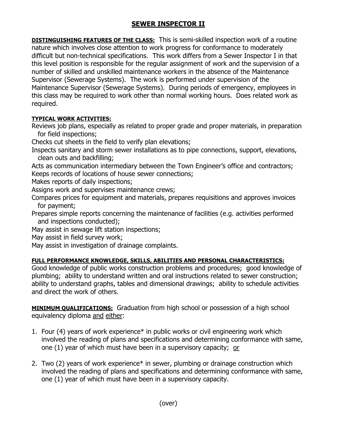## **SEWER INSPECTOR II**

**DISTINGUISHING FEATURES OF THE CLASS:** This is semi-skilled inspection work of a routine nature which involves close attention to work progress for conformance to moderately difficult but non-technical specifications. This work differs from a Sewer Inspector I in that this level position is responsible for the regular assignment of work and the supervision of a number of skilled and unskilled maintenance workers in the absence of the Maintenance Supervisor (Sewerage Systems). The work is performed under supervision of the Maintenance Supervisor (Sewerage Systems). During periods of emergency, employees in this class may be required to work other than normal working hours. Does related work as required.

## **TYPICAL WORK ACTIVITIES:**

Reviews job plans, especially as related to proper grade and proper materials, in preparation for field inspections;

Checks cut sheets in the field to verify plan elevations;

Inspects sanitary and storm sewer installations as to pipe connections, support, elevations, clean outs and backfilling;

Acts as communication intermediary between the Town Engineer's office and contractors; Keeps records of locations of house sewer connections;

Makes reports of daily inspections;

Assigns work and supervises maintenance crews;

Compares prices for equipment and materials, prepares requisitions and approves invoices for payment;

Prepares simple reports concerning the maintenance of facilities (e.g. activities performed and inspections conducted);

May assist in sewage lift station inspections;

May assist in field survey work;

May assist in investigation of drainage complaints.

## **FULL PERFORMANCE KNOWLEDGE, SKILLS, ABILITIES AND PERSONAL CHARACTERISTICS:**

Good knowledge of public works construction problems and procedures; good knowledge of plumbing; ability to understand written and oral instructions related to sewer construction; ability to understand graphs, tables and dimensional drawings; ability to schedule activities and direct the work of others.

**MINIMUM QUALIFICATIONS:** Graduation from high school or possession of a high school equivalency diploma and either:

- 1. Four (4) years of work experience\* in public works or civil engineering work which involved the reading of plans and specifications and determining conformance with same, one (1) year of which must have been in a supervisory capacity; or
- 2. Two (2) years of work experience\* in sewer, plumbing or drainage construction which involved the reading of plans and specifications and determining conformance with same, one (1) year of which must have been in a supervisory capacity.